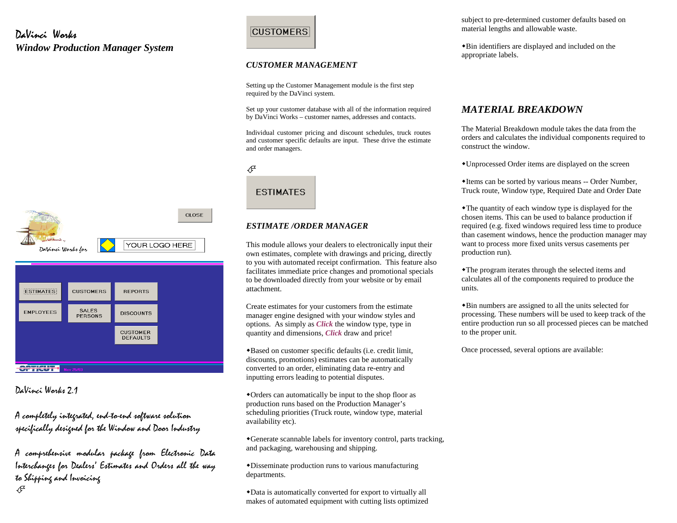#### DaVinci Works *Window Production Manager System*





DaVinci Works 2.1

A completely integrated, end-to-end software solution specifically designed for the Window and Door Industry

A comprehensive modular package from Electronic Data Interchanges for Dealers' Estimates and Orders all the way to Shipping and Invoicing ℐ

# **CUSTOMERS**

#### *CUSTOMER MANAGEMENT*

Setting up the Customer Management module is the first step required by the DaVinci system.

Set up your customer database with all of the information required by DaVinci Works – customer names, addresses and contacts.

Individual customer pricing and discount schedules, truck routes and customer specific defaults are input. These drive the estimate and order managers.



#### *ESTIMATE /ORDER MANAGER*

This module allows your dealers to electronically input their own estimates, complete with drawings and pricing, directly to you with automated receipt confirmation. This feature also facilitates immediate price changes and promotional specials to be downloaded directly from your website or by email attachment.

Create estimates for your customers from the estimate manager engine designed with your window styles and options. As simply as *Click* the window type, type in quantity and dimensions, *Click* draw and price!

-Based on customer specific defaults (i.e. credit limit, discounts, promotions) estimates can be automatically converted to an order, eliminating data re-entry and inputting errors leading to potential disputes.

-Orders can automatically be input to the shop floor as production runs based on the Production Manager's scheduling priorities (Truck route, window type, material availability etc).

-Generate scannable labels for inventory control, parts tracking, and packaging, warehousing and shipping.

-Disseminate production runs to various manufacturing departments.

-Data is automatically converted for export to virtually all makes of automated equipment with cutting lists optimized

subject to pre-determined customer defaults based on material lengths and allowable waste.

-Bin identifiers are displayed and included on the appropriate labels.

#### *MATERIAL BREAKDOWN*

The Material Breakdown module takes the data from the orders and calculates the individual components required to construct the window.

-Unprocessed Order items are displayed on the screen

-Items can be sorted by various means -- Order Number, Truck route, Window type, Required Date and Order Date

-The quantity of each window type is displayed for the chosen items. This can be used to balance production if required (e.g. fixed windows required less time to produce than casement windows, hence the production manager may want to process more fixed units versus casements per production run).

-The program iterates through the selected items and calculates all of the components required to produce the units.

-Bin numbers are assigned to all the units selected for processing. These numbers will be used to keep track of the entire production run so all processed pieces can be matched to the proper unit.

Once processed, several options are available: